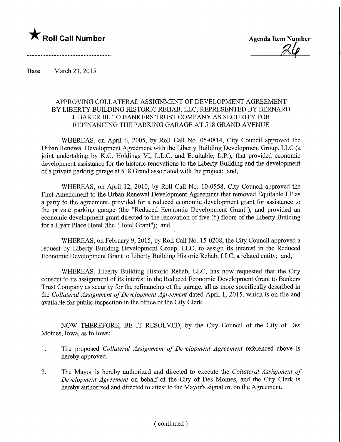

 $24$ 

Date ........March 23,2015,

## APPROVING COLLATERAL ASSIGNMENT OF DEVELOPMENT AGREEMENT BY LIBERTY BUILDING HISTORIC REHAB, LLC, REPRESENTED BY BERNARD J. BAKER HI, TO BANKERS TRUST COMPANY AS SECURITY FOR REFINANCING THE PARKING GARAGE AT 518 GRAND AVENUE

WHEREAS, on April 6, 2005, by Roll Call No. 05-0814, City Council approved the Urban Renewal Development Agreement with the Liberty Building Development Group, LLC (a joint undertaking by K.C. Holdings VI, L.L.C. and Equitable, L.P.), that provided economic development assistance for the historic renovations to the Liberty Building and the development of a private parking garage at 518 Grand associated with the project; and,

WHEREAS, on April 12, 2010, by Roll Call No. 10-0558, City Council approved the First Amendment to the Urban Renewal Development Agreement that removed Equitable LP as a party to the agreement, provided for a reduced economic development grant for assistance to the private parking garage (the "Reduced Economic Development Grant"), and provided an economic development grant directed to the renovation of five (5) floors of the Liberty Building for a Hyatt Place Hotel (the "Hotel Grant"); and,

WHEREAS, on February 9, 2015, by Roll Call No. 15-0208, the City Council approved a request by Liberty Building Development Group, LLC, to assign its interest in the Reduced Economic Development Grant to Liberty Building Historic Rehab, LLC, a related entity; and,

WHEREAS, Liberty Building Historic Rehab, LLC, has now requested that the City consent to its assignment of its interest in the Reduced Economic Development Grant to Bankers Trust Company as security for the refinancing of the garage, all as more specifically described in the Collateral Assignment of Development Agreement dated April 1, 2015, which is on file and available for public inspection in the office of the City Clerk.

NOW THEREFORE, BE IT RESOLVED, by the City Council of the City of Des Moines, Iowa, as follows:

- 1. The proposed Collateral Assignment of Development Agreement referenced above is hereby approved.
- 2. The Mayor is hereby authorized and directed to execute the Collateral Assignment of Development Agreement on behalf of the City of Des Moines, and the City Clerk is hereby authorized and directed to attest to the Mayor's signature on the Agreement.